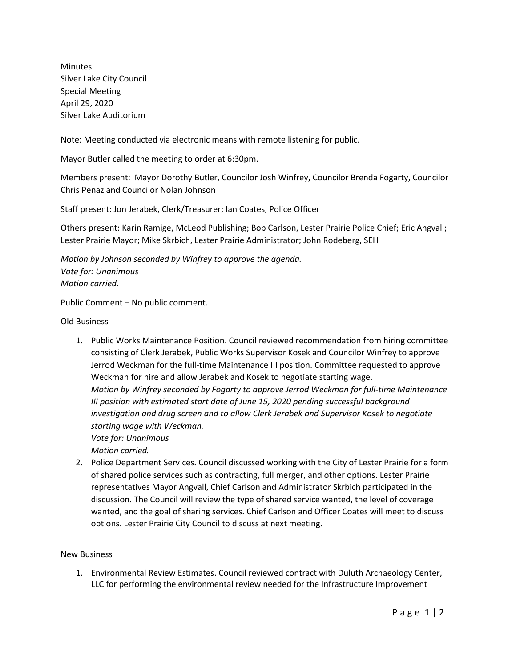Minutes Silver Lake City Council Special Meeting April 29, 2020 Silver Lake Auditorium

Note: Meeting conducted via electronic means with remote listening for public.

Mayor Butler called the meeting to order at 6:30pm.

Members present: Mayor Dorothy Butler, Councilor Josh Winfrey, Councilor Brenda Fogarty, Councilor Chris Penaz and Councilor Nolan Johnson

Staff present: Jon Jerabek, Clerk/Treasurer; Ian Coates, Police Officer

Others present: Karin Ramige, McLeod Publishing; Bob Carlson, Lester Prairie Police Chief; Eric Angvall; Lester Prairie Mayor; Mike Skrbich, Lester Prairie Administrator; John Rodeberg, SEH

*Motion by Johnson seconded by Winfrey to approve the agenda. Vote for: Unanimous Motion carried.*

Public Comment – No public comment.

Old Business

1. Public Works Maintenance Position. Council reviewed recommendation from hiring committee consisting of Clerk Jerabek, Public Works Supervisor Kosek and Councilor Winfrey to approve Jerrod Weckman for the full-time Maintenance III position. Committee requested to approve Weckman for hire and allow Jerabek and Kosek to negotiate starting wage. *Motion by Winfrey seconded by Fogarty to approve Jerrod Weckman for full-time Maintenance III position with estimated start date of June 15, 2020 pending successful background investigation and drug screen and to allow Clerk Jerabek and Supervisor Kosek to negotiate starting wage with Weckman. Vote for: Unanimous*

*Motion carried.* 

2. Police Department Services. Council discussed working with the City of Lester Prairie for a form of shared police services such as contracting, full merger, and other options. Lester Prairie representatives Mayor Angvall, Chief Carlson and Administrator Skrbich participated in the discussion. The Council will review the type of shared service wanted, the level of coverage wanted, and the goal of sharing services. Chief Carlson and Officer Coates will meet to discuss options. Lester Prairie City Council to discuss at next meeting.

New Business

1. Environmental Review Estimates. Council reviewed contract with Duluth Archaeology Center, LLC for performing the environmental review needed for the Infrastructure Improvement